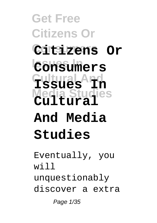**Get Free Citizens Or Consumers Citizens Or Issues In Consumers Cultural And Issues In Media Studies Cultural And Media Studies**

Eventually, you  $W^{\dagger}$  1 1 unquestionably discover a extra Page 1/35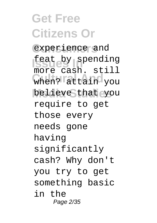**Get Free Citizens Or** experience and **Issue by spending** when? attain you believe that you more cash. still require to get those every needs gone having significantly cash? Why don't you try to get something basic in the Page 2/35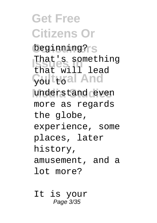**Get Free Citizens Or** beginning?<sub>IS</sub> That's something Gultural And understand even that will lead more as regards the globe, experience, some places, later history, amusement, and a lot more?

It is your Page 3/35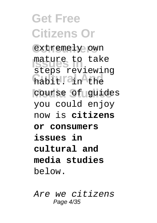**Get Free Citizens Or** extremely own **Issues In** mature to take habit! and the **Media Studies** course of guides steps reviewing you could enjoy now is **citizens or consumers issues in cultural and media studies** below.

Are we citizens Page 4/35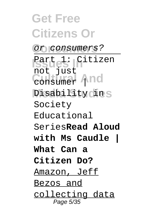**Get Free Citizens Or Consumers** or consumers? **Partet Indiana Cultural And** consumer | Disability din S not just Society Educational Series**Read Aloud with Ms Caudle | What Can a Citizen Do?** Amazon, Jeff Bezos and collecting data Page 5/35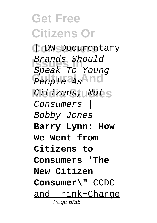**Get Free Citizens Or Consumers** | DW Documentary **Issues In** Speak To Young People a<sub>s</sub>And Citizens, Nots Brands Should Consumers | Bobby Jones **Barry Lynn: How We Went from Citizens to Consumers 'The New Citizen Consumer\"** CCDC and Think+Change Page 6/35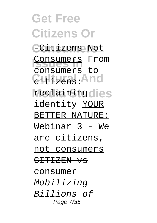**Get Free Citizens Or Consumers** -Citizens Not **Consumers** From **Cultural And** citizens: reclaimingdies consumers to identity YOUR BETTER NATURE: Webinar 3 - We are citizens, not consumers CITIZEN VS consumer Mobilizing Billions of Page 7/35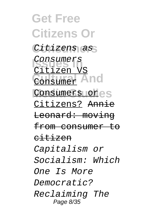**Get Free Citizens Or** Citizens as Consumers<br>Citizen V **Consumer And** Consumers ores Citizen VS Citizens? Annie Leonard: moving from consumer to citizen Capitalism or Socialism: Which One Is More Democratic? Reclaiming The Page 8/35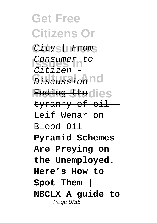**Get Free Citizens Or** City | From Consumer to **Discussion** nd Ending the dies  $C<sub>i</sub>trizen$ tyranny of oil – Leif Wenar on Blood Oil **Pyramid Schemes Are Preying on the Unemployed. Here's How to Spot Them | NBCLX A guide to** Page 9/35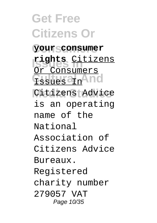**Get Free Citizens Or Consumers your consumer Issues In rights** Citizens **Tssues an** And Citizens Advice Or Consumers is an operating name of the National Association of Citizens Advice Bureaux. Registered charity number 279057 VAT Page 10/35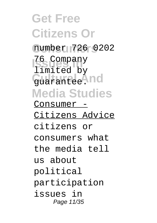**Get Free Citizens Or Consumers** number 726 0202 **Issues In** 76 Company Guarantee. And **Media Studies** limited by Consumer - Citizens Advice citizens or consumers what the media tell us about political participation issues in Page 11/35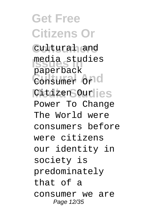**Get Free Citizens Or Consumers** cultural and **Issues In** media studies **Cultural And** Consumer Or Citizen Ourlies paperback Power To Change The World were consumers before were citizens our identity in society is predominately that of a consumer we are Page 12/35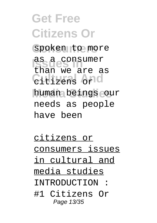**Get Free Citizens Or** spoken to more **Issues In** as a consumer **Cultural And** citizens or **Media Studies** human beings our than we are as needs as people have been

citizens or consumers issues in cultural and media studies INTRODUCTION : #1 Citizens Or Page 13/35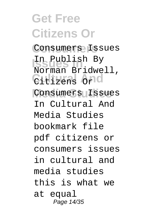# **Get Free Citizens Or**

**Consumers** Consumers Issues **Issues In** In Publish By **Cultural And** Citizens Or Consumers Issues Norman Bridwell, In Cultural And Media Studies bookmark file pdf citizens or consumers issues in cultural and media studies this is what we at equal Page 14/35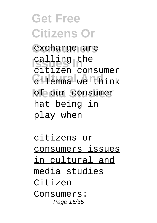**Get Free Citizens Or** exchange are **Issued Indian**<br>Calling the **Cultural And** dilemma we think of our consumer citizen consumer hat being in play when

citizens or consumers issues in cultural and media studies Citizen Consumers: Page 15/35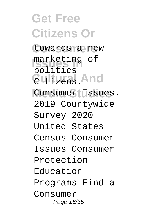**Get Free Citizens Or** towards a new marketing of **Cultural And** Citizens. Consumer Issues. politics 2019 Countywide Survey 2020 United States Census Consumer Issues Consumer Protection Education Programs Find a Consumer Page 16/35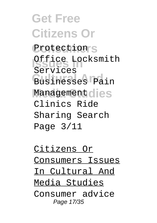**Get Free Citizens Or** Protection<sup>'</sup>S **Issues In** Office Locksmith Businesses Pain Management dies Services Clinics Ride Sharing Search Page 3/11

Citizens Or Consumers Issues In Cultural And Media Studies Consumer advice Page 17/35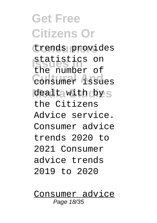### **Get Free Citizens Or**

**Consumers** trends provides **Issues Inconvention Consumer** issues dealt with by s the number of the Citizens Advice service. Consumer advice trends 2020 to 2021 Consumer advice trends 2019 to 2020

Consumer advice Page 18/35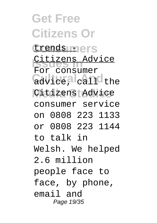**Get Free Citizens Or** trends uners Citizens Advice advice, call the Citizens Advice For consumer consumer service on 0808 223 1133 or 0808 223 1144 to talk in Welsh. We helped 2.6 million people face to face, by phone, email and Page 19/35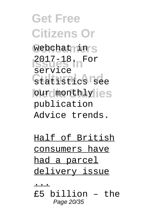**Get Free Citizens Or** webchat nin S **Issues In** 2017-18. For Gtatistics See our monthlylies service publication Advice trends.

Half of British consumers have had a parcel delivery issue

...

£5 billion – the Page 20/35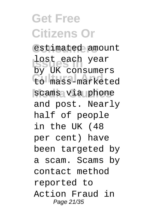#### **Get Free Citizens Or Consumers** estimated amount **Issues In** lost each year **Cultural And** to mass-marketed scams via phone by UK consumers and post. Nearly half of people in the UK (48 per cent) have been targeted by a scam. Scams by contact method reported to Action Fraud in Page 21/35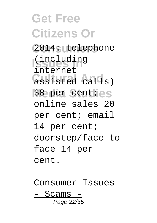**Get Free Citizens Or Consumers** 2014: telephone **Issues In** (including **Cultural And** assisted calls) 38 per centies internet online sales 20 per cent; email 14 per cent; doorstep/face to face 14 per cent.

Consumer Issues - Scams - Page 22/35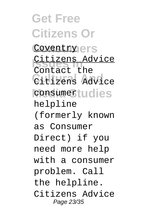**Get Free Citizens Or** Coventry ers Citizens Advice Citizens Advice consumertudies Contact the helpline (formerly known as Consumer Direct) if you need more help with a consumer problem. Call the helpline. Citizens Advice Page 23/35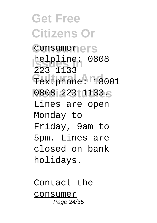**Get Free Citizens Or** consumerers **helpline: 0808** Textphone: 18001 0808 223 1133.S 223 1133 Lines are open Monday to Friday, 9am to 5pm. Lines are closed on bank holidays.

Contact the consumer Page 24/35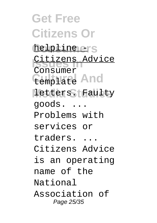**Get Free Citizens Or** helpline ers Citizens Advice **Cemplate** And letters. Faulty Consumer goods. ... Problems with services or traders. ... Citizens Advice is an operating name of the National Association of Page 25/35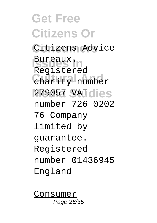**Get Free Citizens Or** Citizens Advice **Issues In** Bureaux. Charity number **Media Studies** 279057 VAT Registered number 726 0202 76 Company limited by guarantee. Registered number 01436945 England

Consumer Page 26/35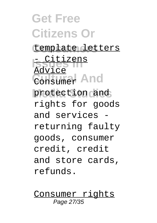## **Get Free Citizens Or**

### **Consumers** template letters

**Issues In** - Citizens Consumer And protection and Advice rights for goods and services returning faulty goods, consumer credit, credit and store cards, refunds.

Consumer rights Page 27/35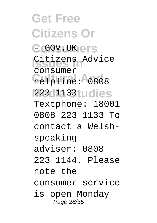**Get Free Citizens Or** C**GOV.UK**ers Citizens Advice helpline: 0808 **223 1133 tudies** consumer Textphone: 18001 0808 223 1133 To contact a Welshspeaking adviser: 0808 223 1144. Please note the consumer service is open Monday Page 28/35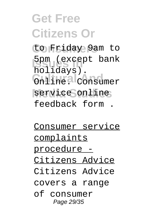#### **Get Free Citizens Or Consumers** to Friday 9am to 5pm (except bank Online. Consumer service online holidays). feedback form .

Consumer service complaints procedure - Citizens Advice Citizens Advice covers a range of consumer Page 29/35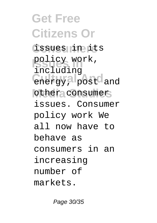**Get Free Citizens Or Consumers** issues in its policy work, energy, post and other consumer including issues. Consumer policy work We all now have to behave as consumers in an increasing number of markets.

Page 30/35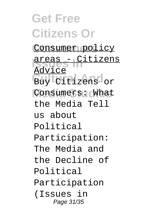**Get Free Citizens Or** Consumer policy **Isrues - Citizens**<br>Barrias Buy Citizens or Consumers: What Advice the Media Tell us about Political Participation: The Media and the Decline of Political Participation (Issues in Page 31/35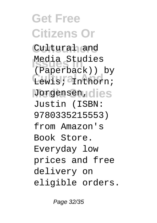**Get Free Citizens Or** Cultural and Media Studies Lewis; <sup>2</sup>Inthorn; Jorgensen, dies (Paperback)) by Justin (ISBN: 9780335215553) from Amazon's Book Store. Everyday low prices and free delivery on eligible orders.

Page 32/35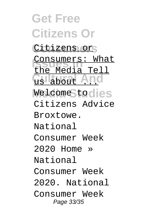**Get Free Citizens Or** Citizens or **Consumers: What** us about And **Media Studies** Welcome to the Media Tell Citizens Advice Broxtowe. National Consumer Week 2020 Home » National Consumer Week 2020. National Consumer Week Page 33/35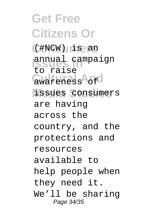**Get Free Citizens Or Consumers** (#NCW) is an **Issues Campaign** awareness of **Media Studies** issues consumers to raise are having across the country, and the protections and resources available to help people when they need it. We'll be sharing Page 34/35